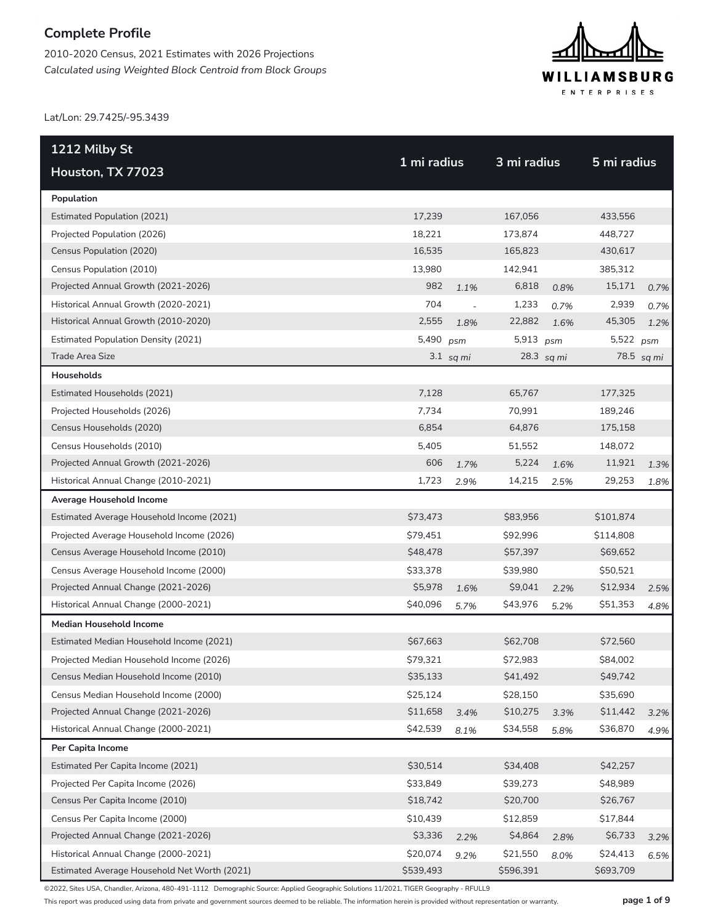2010-2020 Census, 2021 Estimates with 2026 Projections *Calculated using Weighted Block Centroid from Block Groups*



Lat/Lon: 29.7425/-95.3439

| 1212 Milby St                                |             |               |             |            |             |            |
|----------------------------------------------|-------------|---------------|-------------|------------|-------------|------------|
| Houston, TX 77023                            | 1 mi radius |               | 3 mi radius |            | 5 mi radius |            |
| Population                                   |             |               |             |            |             |            |
| <b>Estimated Population (2021)</b>           | 17,239      |               | 167,056     |            | 433,556     |            |
| Projected Population (2026)                  | 18,221      |               | 173,874     |            | 448,727     |            |
| Census Population (2020)                     | 16,535      |               | 165,823     |            | 430,617     |            |
| Census Population (2010)                     | 13,980      |               | 142,941     |            | 385,312     |            |
| Projected Annual Growth (2021-2026)          | 982         | 1.1%          | 6,818       | 0.8%       | 15,171      | 0.7%       |
| Historical Annual Growth (2020-2021)         | 704         | $\frac{1}{2}$ | 1,233       | 0.7%       | 2,939       | 0.7%       |
| Historical Annual Growth (2010-2020)         | 2,555       | 1.8%          | 22,882      | 1.6%       | 45,305      | 1.2%       |
| <b>Estimated Population Density (2021)</b>   | 5,490       | psm           | 5,913 psm   |            | 5,522 psm   |            |
| Trade Area Size                              |             | $3.1$ sq mi   |             | 28.3 sq mi |             | 78.5 sq mi |
| <b>Households</b>                            |             |               |             |            |             |            |
| Estimated Households (2021)                  | 7,128       |               | 65,767      |            | 177,325     |            |
| Projected Households (2026)                  | 7,734       |               | 70,991      |            | 189,246     |            |
| Census Households (2020)                     | 6,854       |               | 64,876      |            | 175,158     |            |
| Census Households (2010)                     | 5,405       |               | 51,552      |            | 148,072     |            |
| Projected Annual Growth (2021-2026)          | 606         | 1.7%          | 5,224       | 1.6%       | 11,921      | 1.3%       |
| Historical Annual Change (2010-2021)         | 1,723       | 2.9%          | 14,215      | 2.5%       | 29,253      | 1.8%       |
| Average Household Income                     |             |               |             |            |             |            |
| Estimated Average Household Income (2021)    | \$73,473    |               | \$83,956    |            | \$101,874   |            |
| Projected Average Household Income (2026)    | \$79,451    |               | \$92,996    |            | \$114,808   |            |
| Census Average Household Income (2010)       | \$48,478    |               | \$57,397    |            | \$69,652    |            |
| Census Average Household Income (2000)       | \$33,378    |               | \$39,980    |            | \$50,521    |            |
| Projected Annual Change (2021-2026)          | \$5,978     | 1.6%          | \$9,041     | 2.2%       | \$12,934    | 2.5%       |
| Historical Annual Change (2000-2021)         | \$40,096    | 5.7%          | \$43,976    | 5.2%       | \$51,353    | 4.8%       |
| <b>Median Household Income</b>               |             |               |             |            |             |            |
| Estimated Median Household Income (2021)     | \$67,663    |               | \$62,708    |            | \$72,560    |            |
| Projected Median Household Income (2026)     | \$79,321    |               | \$72,983    |            | \$84,002    |            |
| Census Median Household Income (2010)        | \$35,133    |               | \$41,492    |            | \$49,742    |            |
| Census Median Household Income (2000)        | \$25,124    |               | \$28,150    |            | \$35,690    |            |
| Projected Annual Change (2021-2026)          | \$11,658    | 3.4%          | \$10,275    | 3.3%       | \$11,442    | 3.2%       |
| Historical Annual Change (2000-2021)         | \$42,539    | 8.1%          | \$34,558    | 5.8%       | \$36,870    | 4.9%       |
| Per Capita Income                            |             |               |             |            |             |            |
| Estimated Per Capita Income (2021)           | \$30,514    |               | \$34,408    |            | \$42,257    |            |
| Projected Per Capita Income (2026)           | \$33,849    |               | \$39,273    |            | \$48,989    |            |
| Census Per Capita Income (2010)              | \$18,742    |               | \$20,700    |            | \$26,767    |            |
| Census Per Capita Income (2000)              | \$10,439    |               | \$12,859    |            | \$17,844    |            |
| Projected Annual Change (2021-2026)          | \$3,336     | 2.2%          | \$4,864     | 2.8%       | \$6,733     | 3.2%       |
| Historical Annual Change (2000-2021)         | \$20,074    | 9.2%          | \$21,550    | 8.0%       | \$24,413    | 6.5%       |
| Estimated Average Household Net Worth (2021) | \$539,493   |               | \$596,391   |            | \$693,709   |            |

©2022, Sites USA, Chandler, Arizona, 480-491-1112 Demographic Source: Applied Geographic Solutions 11/2021, TIGER Geography - RFULL9

This report was produced using data from private and government sources deemed to be reliable. The information herein is provided without representation or warranty. **page 1 of 9**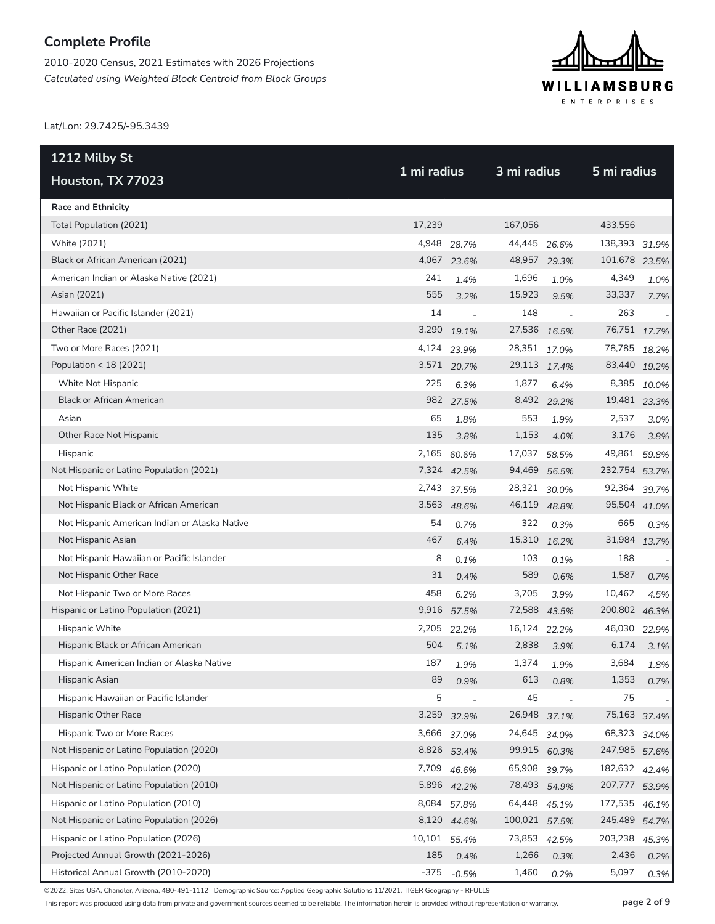2010-2020 Census, 2021 Estimates with 2026 Projections *Calculated using Weighted Block Centroid from Block Groups*



Lat/Lon: 29.7425/-95.3439

| <u>121</u> 2 Milby St                         | 1 mi radius  |             |               | 3 mi radius |               |             |
|-----------------------------------------------|--------------|-------------|---------------|-------------|---------------|-------------|
| Houston, TX 77023                             |              |             |               |             | 5 mi radius   |             |
| <b>Race and Ethnicity</b>                     |              |             |               |             |               |             |
| Total Population (2021)                       | 17,239       |             | 167,056       |             | 433,556       |             |
| White (2021)                                  | 4,948        | 28.7%       | 44,445        | 26.6%       | 138,393 31.9% |             |
| Black or African American (2021)              |              | 4,067 23.6% | 48,957 29.3%  |             | 101,678 23.5% |             |
| American Indian or Alaska Native (2021)       | 241          | 1.4%        | 1,696         | 1.0%        | 4,349         | 1.0%        |
| Asian (2021)                                  | 555          | 3.2%        | 15,923        | 9.5%        | 33,337        | 7.7%        |
| Hawaiian or Pacific Islander (2021)           | 14           | $\sim$      | 148           |             | 263           |             |
| Other Race (2021)                             | 3,290        | 19.1%       | 27,536 16.5%  |             | 76,751 17.7%  |             |
| Two or More Races (2021)                      | 4,124        | 23.9%       | 28,351 17.0%  |             | 78,785        | 18.2%       |
| Population < 18 (2021)                        |              | 3,571 20.7% | 29,113 17.4%  |             | 83,440 19.2%  |             |
| White Not Hispanic                            | 225          | 6.3%        | 1,877         | 6.4%        |               | 8,385 10.0% |
| <b>Black or African American</b>              |              | 982 27.5%   |               | 8,492 29.2% | 19,481 23.3%  |             |
| Asian                                         | 65           | 1.8%        | 553           | 1.9%        | 2,537         | 3.0%        |
| Other Race Not Hispanic                       | 135          | 3.8%        | 1,153         | 4.0%        | 3,176         | 3.8%        |
| Hispanic                                      | 2,165        | 60.6%       | 17,037        | 58.5%       | 49,861 59.8%  |             |
| Not Hispanic or Latino Population (2021)      |              | 7,324 42.5% | 94,469 56.5%  |             | 232,754 53.7% |             |
| Not Hispanic White                            | 2,743        | 37.5%       | 28,321 30.0%  |             | 92,364        | 39.7%       |
| Not Hispanic Black or African American        |              | 3,563 48.6% | 46,119 48.8%  |             | 95,504 41.0%  |             |
| Not Hispanic American Indian or Alaska Native | 54           | 0.7%        | 322           | 0.3%        | 665           | 0.3%        |
| Not Hispanic Asian                            | 467          | 6.4%        | 15,310 16.2%  |             | 31,984 13.7%  |             |
| Not Hispanic Hawaiian or Pacific Islander     | 8            | 0.1%        | 103           | 0.1%        | 188           |             |
| Not Hispanic Other Race                       | 31           | 0.4%        | 589           | 0.6%        | 1,587         | 0.7%        |
| Not Hispanic Two or More Races                | 458          | 6.2%        | 3,705         | 3.9%        | 10,462        | 4.5%        |
| Hispanic or Latino Population (2021)          |              | 9,916 57.5% | 72,588 43.5%  |             | 200,802 46.3% |             |
| Hispanic White                                | 2,205        | 22.2%       | 16,124        | 22.2%       | 46,030        | 22.9%       |
| Hispanic Black or African American            | 504          | 5.1%        | 2,838         | 3.9%        | 6,174         | 3.1%        |
| Hispanic American Indian or Alaska Native     | 187          | 1.9%        | 1,374         | 1.9%        | 3,684         | 1.8%        |
| Hispanic Asian                                | 89           | 0.9%        | 613           | 0.8%        | 1,353         | 0.7%        |
| Hispanic Hawaiian or Pacific Islander         | 5            |             | 45            |             | 75            |             |
| Hispanic Other Race                           |              | 3,259 32.9% | 26,948        | 37.1%       | 75,163 37.4%  |             |
| Hispanic Two or More Races                    | 3,666        | 37.0%       | 24,645        | 34.0%       | 68,323        | 34.0%       |
| Not Hispanic or Latino Population (2020)      |              | 8,826 53.4% | 99,915 60.3%  |             | 247,985 57.6% |             |
| Hispanic or Latino Population (2020)          | 7,709        | 46.6%       | 65,908 39.7%  |             | 182,632 42.4% |             |
| Not Hispanic or Latino Population (2010)      |              | 5,896 42.2% | 78,493 54.9%  |             | 207,777 53.9% |             |
| Hispanic or Latino Population (2010)          | 8,084        | 57.8%       | 64,448 45.1%  |             | 177,535       | 46.1%       |
| Not Hispanic or Latino Population (2026)      |              | 8,120 44.6% | 100,021 57.5% |             | 245,489 54.7% |             |
| Hispanic or Latino Population (2026)          | 10,101 55.4% |             | 73,853 42.5%  |             | 203,238       | 45.3%       |
| Projected Annual Growth (2021-2026)           | 185          | 0.4%        | 1,266         | 0.3%        | 2,436         | 0.2%        |
| Historical Annual Growth (2010-2020)          | $-375$       | $-0.5%$     | 1,460         | 0.2%        | 5,097         | 0.3%        |

©2022, Sites USA, Chandler, Arizona, 480-491-1112 Demographic Source: Applied Geographic Solutions 11/2021, TIGER Geography - RFULL9

This report was produced using data from private and government sources deemed to be reliable. The information herein is provided without representation or warranty. **page 2 of 9**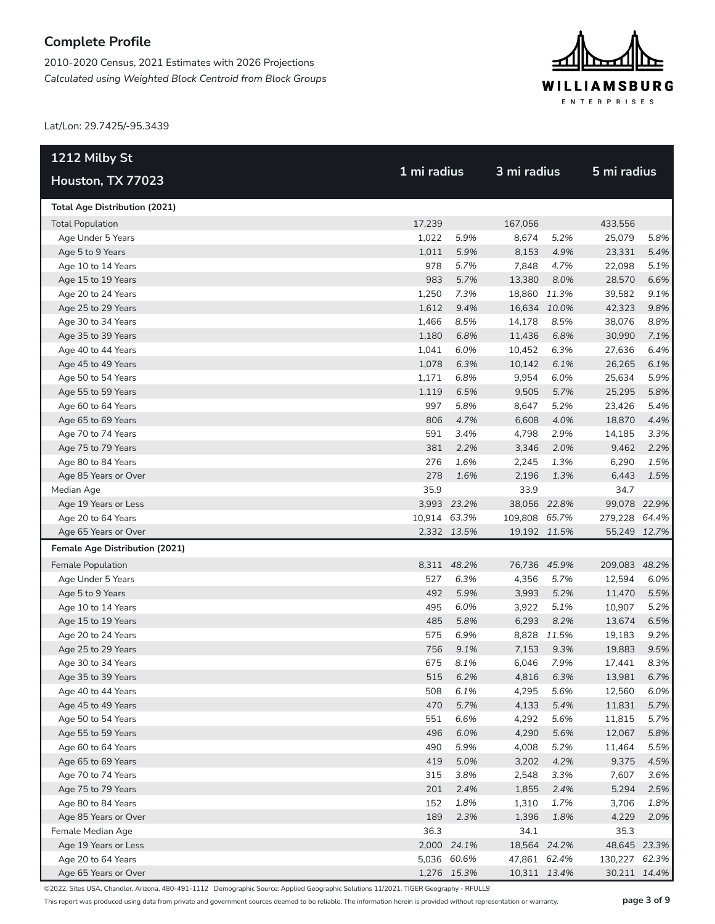2010-2020 Census, 2021 Estimates with 2026 Projections *Calculated using Weighted Block Centroid from Block Groups*



Lat/Lon: 29.7425/-95.3439

| 1212 Milby St                                                 | 1 mi radius  |             | 3 mi radius   |            |               |      |
|---------------------------------------------------------------|--------------|-------------|---------------|------------|---------------|------|
| Houston, TX 77023                                             |              |             |               |            | 5 mi radius   |      |
| <b>Total Age Distribution (2021)</b>                          |              |             |               |            |               |      |
| <b>Total Population</b>                                       | 17,239       |             | 167,056       |            | 433,556       |      |
| Age Under 5 Years                                             | 1,022        | 5.9%        | 8,674         | 5.2%       | 25,079        | 5.8% |
| Age 5 to 9 Years                                              | 1,011        | 5.9%        | 8,153         | 4.9%       | 23,331        | 5.4% |
| Age 10 to 14 Years                                            | 978          | 5.7%        | 7,848         | 4.7%       | 22,098        | 5.1% |
| Age 15 to 19 Years                                            | 983          | 5.7%        | 13,380        | 8.0%       | 28,570        | 6.6% |
| Age 20 to 24 Years                                            | 1,250        | 7.3%        | 18,860 11.3%  |            | 39,582        | 9.1% |
| Age 25 to 29 Years                                            | 1,612        | 9.4%        | 16,634 10.0%  |            | 42,323        | 9.8% |
| Age 30 to 34 Years                                            | 1,466        | 8.5%        | 14,178        | 8.5%       | 38,076        | 8.8% |
| Age 35 to 39 Years                                            | 1,180        | 6.8%        | 11,436        | 6.8%       | 30,990        | 7.1% |
| Age 40 to 44 Years                                            | 1,041        | 6.0%        | 10,452        | 6.3%       | 27,636        | 6.4% |
| Age 45 to 49 Years                                            | 1,078        | 6.3%        | 10,142        | 6.1%       | 26,265        | 6.1% |
| Age 50 to 54 Years                                            | 1,171        | 6.8%        | 9,954         | 6.0%       | 25,634        | 5.9% |
| Age 55 to 59 Years                                            | 1,119        | 6.5%        | 9,505         | 5.7%       | 25,295        | 5.8% |
| Age 60 to 64 Years                                            | 997          | 5.8%        | 8,647         | 5.2%       | 23,426        | 5.4% |
| Age 65 to 69 Years                                            | 806          | 4.7%        | 6,608         | 4.0%       | 18,870        | 4.4% |
| Age 70 to 74 Years                                            | 591          | 3.4%        | 4,798         | 2.9%       | 14,185        | 3.3% |
| Age 75 to 79 Years                                            | 381          | 2.2%        | 3,346         | 2.0%       | 9,462         | 2.2% |
| Age 80 to 84 Years                                            | 276          | 1.6%        | 2,245         | 1.3%       | 6,290         | 1.5% |
| Age 85 Years or Over                                          | 278          | 1.6%        | 2,196         | 1.3%       | 6,443         | 1.5% |
| Median Age                                                    | 35.9         |             | 33.9          |            | 34.7          |      |
| Age 19 Years or Less                                          |              | 3,993 23.2% | 38,056 22.8%  |            | 99,078 22.9%  |      |
| Age 20 to 64 Years                                            | 10,914 63.3% | 2,332 13.5% | 109,808 65.7% |            | 279,228 64.4% |      |
| Age 65 Years or Over<br><b>Female Age Distribution (2021)</b> |              |             | 19,192 11.5%  |            | 55,249 12.7%  |      |
| Female Population                                             |              | 8,311 48.2% | 76,736 45.9%  |            | 209,083 48.2% |      |
| Age Under 5 Years                                             | 527          | 6.3%        | 4,356         | 5.7%       | 12,594        | 6.0% |
| Age 5 to 9 Years                                              | 492          | 5.9%        | 3,993         | 5.2%       | 11,470        | 5.5% |
| Age 10 to 14 Years                                            | 495          | 6.0%        | 3,922         | 5.1%       | 10,907        | 5.2% |
| Age 15 to 19 Years                                            | 485          | 5.8%        | 6,293         | 8.2%       | 13,674        | 6.5% |
| Age 20 to 24 Years                                            | 575          | 6.9%        | 8,828         | 11.5%      | 19,183        | 9.2% |
| Age 25 to 29 Years                                            | 756          | 9.1%        | 7,153         | 9.3%       | 19,883        | 9.5% |
| Age 30 to 34 Years                                            | 675          | 8.1%        | 6,046         | 7.9%       | 17,441        | 8.3% |
| Age 35 to 39 Years                                            |              | 515 6.2%    |               | 4,816 6.3% | 13,981        | 6.7% |
| Age 40 to 44 Years                                            | 508          | 6.1%        | 4,295         | 5.6%       | 12,560        | 6.0% |
| Age 45 to 49 Years                                            | 470          | 5.7%        | 4,133         | 5.4%       | 11,831        | 5.7% |
| Age 50 to 54 Years                                            | 551          | 6.6%        | 4,292         | 5.6%       | 11,815        | 5.7% |
| Age 55 to 59 Years                                            | 496          | 6.0%        | 4,290         | 5.6%       | 12,067        | 5.8% |
| Age 60 to 64 Years                                            | 490          | 5.9%        | 4,008         | 5.2%       | 11,464        | 5.5% |
| Age 65 to 69 Years                                            | 419          | 5.0%        | 3,202         | 4.2%       | 9,375         | 4.5% |
| Age 70 to 74 Years                                            | 315          | 3.8%        | 2,548         | 3.3%       | 7,607         | 3.6% |
| Age 75 to 79 Years                                            | 201          | 2.4%        | 1,855         | 2.4%       | 5,294         | 2.5% |
| Age 80 to 84 Years                                            | 152          | 1.8%        | 1,310         | 1.7%       | 3,706         | 1.8% |
| Age 85 Years or Over                                          | 189          | 2.3%        | 1,396         | 1.8%       | 4,229         | 2.0% |
| Female Median Age                                             | 36.3         |             | 34.1          |            | 35.3          |      |
| Age 19 Years or Less                                          |              | 2,000 24.1% | 18,564 24.2%  |            | 48,645 23.3%  |      |
| Age 20 to 64 Years                                            |              | 5,036 60.6% | 47,861 62.4%  |            | 130,227 62.3% |      |
| Age 65 Years or Over                                          |              | 1,276 15.3% | 10,311 13.4%  |            | 30,211 14.4%  |      |

©2022, Sites USA, Chandler, Arizona, 480-491-1112 Demographic Source: Applied Geographic Solutions 11/2021, TIGER Geography - RFULL9

This report was produced using data from private and government sources deemed to be reliable. The information herein is provided without representation or warranty. **page 3 of 9**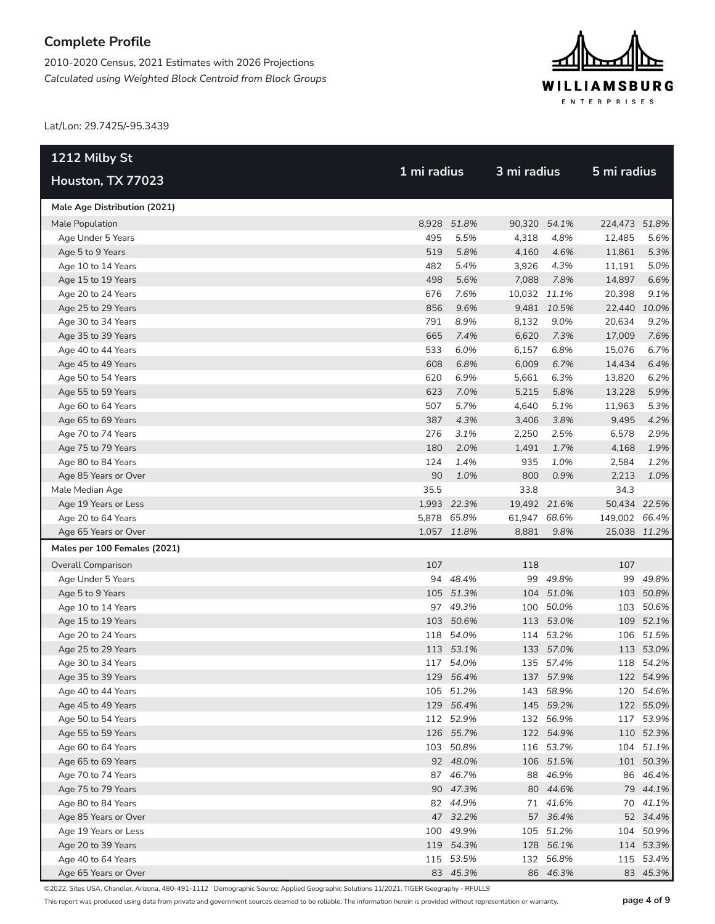2010-2020 Census, 2021 Estimates with 2026 Projections *Calculated using Weighted Block Centroid from Block Groups*



Lat/Lon: 29.7425/-95.3439

| 1212 Milby St                | 1 mi radius |             | 3 mi radius  |             |               |           |
|------------------------------|-------------|-------------|--------------|-------------|---------------|-----------|
| Houston, TX 77023            |             |             |              |             | 5 mi radius   |           |
| Male Age Distribution (2021) |             |             |              |             |               |           |
| Male Population              |             | 8,928 51.8% | 90,320 54.1% |             | 224,473 51.8% |           |
| Age Under 5 Years            | 495         | 5.5%        | 4,318        | 4.8%        | 12,485        | 5.6%      |
| Age 5 to 9 Years             | 519         | 5.8%        | 4,160        | 4.6%        | 11,861        | 5.3%      |
| Age 10 to 14 Years           | 482         | 5.4%        | 3,926        | 4.3%        | 11,191        | 5.0%      |
| Age 15 to 19 Years           | 498         | 5.6%        | 7,088        | 7.8%        | 14,897        | 6.6%      |
| Age 20 to 24 Years           | 676         | 7.6%        | 10,032 11.1% |             | 20,398        | 9.1%      |
| Age 25 to 29 Years           | 856         | 9.6%        |              | 9,481 10.5% | 22,440 10.0%  |           |
| Age 30 to 34 Years           | 791         | 8.9%        | 8,132        | 9.0%        | 20,634        | 9.2%      |
| Age 35 to 39 Years           | 665         | 7.4%        | 6,620        | 7.3%        | 17,009        | 7.6%      |
| Age 40 to 44 Years           | 533         | 6.0%        | 6,157        | 6.8%        | 15,076        | 6.7%      |
| Age 45 to 49 Years           | 608         | 6.8%        | 6,009        | 6.7%        | 14,434        | 6.4%      |
| Age 50 to 54 Years           | 620         | 6.9%        | 5,661        | 6.3%        | 13,820        | 6.2%      |
| Age 55 to 59 Years           | 623         | 7.0%        | 5,215        | 5.8%        | 13,228        | 5.9%      |
| Age 60 to 64 Years           | 507         | 5.7%        | 4,640        | 5.1%        | 11,963        | 5.3%      |
| Age 65 to 69 Years           | 387         | 4.3%        | 3,406        | 3.8%        | 9,495         | 4.2%      |
| Age 70 to 74 Years           | 276         | 3.1%        | 2,250        | 2.5%        | 6,578         | 2.9%      |
| Age 75 to 79 Years           | 180         | 2.0%        | 1,491        | 1.7%        | 4,168         | 1.9%      |
| Age 80 to 84 Years           | 124         | 1.4%        | 935          | 1.0%        | 2,584         | 1.2%      |
| Age 85 Years or Over         | 90          | 1.0%        | 800          | 0.9%        | 2,213         | 1.0%      |
| Male Median Age              | 35.5        |             | 33.8         |             | 34.3          |           |
| Age 19 Years or Less         |             | 1,993 22.3% | 19,492 21.6% |             | 50,434 22.5%  |           |
| Age 20 to 64 Years           |             | 5,878 65.8% | 61,947 68.6% |             | 149,002 66.4% |           |
| Age 65 Years or Over         |             | 1,057 11.8% | 8,881        | 9.8%        | 25,038 11.2%  |           |
| Males per 100 Females (2021) |             |             |              |             |               |           |
| <b>Overall Comparison</b>    | 107         |             | 118          |             | 107           |           |
| Age Under 5 Years            |             | 94 48.4%    |              | 99 49.8%    |               | 99 49.8%  |
| Age 5 to 9 Years             |             | 105 51.3%   | 104          | 51.0%       |               | 103 50.8% |
| Age 10 to 14 Years           |             | 97 49.3%    | 100          | 50.0%       |               | 103 50.6% |
| Age 15 to 19 Years           |             | 103 50.6%   |              | 113 53.0%   |               | 109 52.1% |
| Age 20 to 24 Years           |             | 118 54.0%   |              | 114 53.2%   |               | 106 51.5% |
| Age 25 to 29 Years           |             | 113 53.1%   |              | 133 57.0%   |               | 113 53.0% |
| Age 30 to 34 Years           |             | 117 54.0%   |              | 135 57.4%   |               | 118 54.2% |
| Age 35 to 39 Years           |             | 129 56.4%   |              | 137 57.9%   |               | 122 54.9% |
| Age 40 to 44 Years           |             | 105 51.2%   |              | 143 58.9%   |               | 120 54.6% |
| Age 45 to 49 Years           |             | 129 56.4%   |              | 145 59.2%   |               | 122 55.0% |
| Age 50 to 54 Years           |             | 112 52.9%   |              | 132 56.9%   |               | 117 53.9% |
| Age 55 to 59 Years           |             | 126 55.7%   |              | 122 54.9%   |               | 110 52.3% |
| Age 60 to 64 Years           |             | 103 50.8%   |              | 116 53.7%   |               | 104 51.1% |
| Age 65 to 69 Years           |             | 92 48.0%    |              | 106 51.5%   |               | 101 50.3% |
| Age 70 to 74 Years           |             | 87 46.7%    |              | 88 46.9%    |               | 86 46.4%  |
| Age 75 to 79 Years           |             | 90 47.3%    |              | 80 44.6%    |               | 79 44.1%  |
| Age 80 to 84 Years           |             | 82 44.9%    |              | 71 41.6%    |               | 70 41.1%  |
| Age 85 Years or Over         |             | 47 32.2%    |              | 57 36.4%    |               | 52 34.4%  |
| Age 19 Years or Less         |             | 100 49.9%   |              | 105 51.2%   |               | 104 50.9% |
| Age 20 to 39 Years           |             | 119 54.3%   |              | 128 56.1%   |               | 114 53.3% |
| Age 40 to 64 Years           |             | 115 53.5%   |              | 132 56.8%   |               | 115 53.4% |
| Age 65 Years or Over         |             | 83 45.3%    |              | 86 46.3%    |               | 83 45.3%  |

©2022, Sites USA, Chandler, Arizona, 480-491-1112 Demographic Source: Applied Geographic Solutions 11/2021, TIGER Geography - RFULL9

This report was produced using data from private and government sources deemed to be reliable. The information herein is provided without representation or warranty. **page 4 of 9**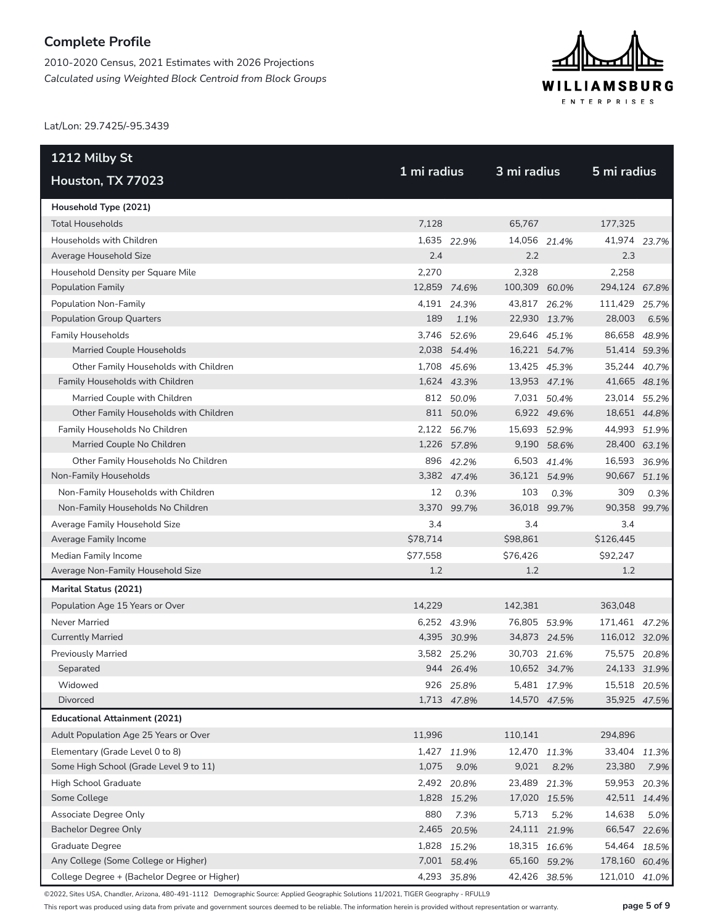2010-2020 Census, 2021 Estimates with 2026 Projections *Calculated using Weighted Block Centroid from Block Groups*



Lat/Lon: 29.7425/-95.3439

| 1212 Milby St                                | 1 mi radius  |             | 3 mi radius  |             | 5 mi radius   |      |
|----------------------------------------------|--------------|-------------|--------------|-------------|---------------|------|
| Houston, TX 77023                            |              |             |              |             |               |      |
| Household Type (2021)                        |              |             |              |             |               |      |
| <b>Total Households</b>                      | 7,128        |             | 65,767       |             | 177,325       |      |
| Households with Children                     |              | 1,635 22.9% | 14,056 21.4% |             | 41,974 23.7%  |      |
| Average Household Size                       | 2.4          |             | 2.2          |             | 2.3           |      |
| Household Density per Square Mile            | 2,270        |             | 2,328        |             | 2,258         |      |
| <b>Population Family</b>                     | 12,859 74.6% |             | 100,309      | 60.0%       | 294,124 67.8% |      |
| Population Non-Family                        |              | 4,191 24.3% | 43,817 26.2% |             | 111,429 25.7% |      |
| <b>Population Group Quarters</b>             | 189          | 1.1%        | 22,930 13.7% |             | 28,003        | 6.5% |
| <b>Family Households</b>                     |              | 3,746 52.6% | 29,646 45.1% |             | 86,658 48.9%  |      |
| Married Couple Households                    |              | 2,038 54.4% | 16,221 54.7% |             | 51,414 59.3%  |      |
| Other Family Households with Children        |              | 1,708 45.6% | 13,425 45.3% |             | 35,244 40.7%  |      |
| Family Households with Children              |              | 1,624 43.3% | 13,953 47.1% |             | 41,665 48.1%  |      |
| Married Couple with Children                 |              | 812 50.0%   |              | 7,031 50.4% | 23,014 55.2%  |      |
| Other Family Households with Children        |              | 811 50.0%   |              | 6,922 49.6% | 18,651 44.8%  |      |
| Family Households No Children                |              | 2,122 56.7% | 15,693 52.9% |             | 44,993 51.9%  |      |
| Married Couple No Children                   |              | 1,226 57.8% |              | 9,190 58.6% | 28,400 63.1%  |      |
| Other Family Households No Children          |              | 896 42.2%   |              | 6,503 41.4% | 16,593 36.9%  |      |
| Non-Family Households                        |              | 3,382 47.4% | 36,121 54.9% |             | 90,667 51.1%  |      |
| Non-Family Households with Children          | 12           | 0.3%        | 103          | 0.3%        | 309           | 0.3% |
| Non-Family Households No Children            | 3,370        | 99.7%       | 36,018 99.7% |             | 90,358 99.7%  |      |
| Average Family Household Size                | 3.4          |             | 3.4          |             | 3.4           |      |
| Average Family Income                        | \$78,714     |             | \$98,861     |             | \$126,445     |      |
| Median Family Income                         | \$77,558     |             | \$76,426     |             | \$92,247      |      |
| Average Non-Family Household Size            | 1.2          |             | 1.2          |             | 1.2           |      |
| Marital Status (2021)                        |              |             |              |             |               |      |
| Population Age 15 Years or Over              | 14,229       |             | 142,381      |             | 363,048       |      |
| Never Married                                |              | 6,252 43.9% | 76,805 53.9% |             | 171,461 47.2% |      |
| <b>Currently Married</b>                     |              | 4,395 30.9% | 34,873 24.5% |             | 116,012 32.0% |      |
| <b>Previously Married</b>                    |              | 3,582 25.2% | 30,703 21.6% |             | 75,575 20.8%  |      |
| Separated                                    |              | 944 26.4%   | 10,652 34.7% |             | 24,133 31.9%  |      |
| Widowed                                      |              | 926 25.8%   |              | 5,481 17.9% | 15,518 20.5%  |      |
| Divorced                                     |              | 1,713 47.8% | 14,570 47.5% |             | 35,925 47.5%  |      |
| <b>Educational Attainment (2021)</b>         |              |             |              |             |               |      |
| Adult Population Age 25 Years or Over        | 11,996       |             | 110,141      |             | 294,896       |      |
| Elementary (Grade Level 0 to 8)              |              | 1,427 11.9% | 12,470 11.3% |             | 33,404 11.3%  |      |
| Some High School (Grade Level 9 to 11)       | 1,075        | 9.0%        | 9,021        | 8.2%        | 23,380        | 7.9% |
| High School Graduate                         |              | 2,492 20.8% | 23,489 21.3% |             | 59,953 20.3%  |      |
| Some College                                 |              | 1,828 15.2% | 17,020 15.5% |             | 42,511 14.4%  |      |
| Associate Degree Only                        | 880          | 7.3%        | 5,713        | 5.2%        | 14,638        | 5.0% |
| <b>Bachelor Degree Only</b>                  | 2,465        | 20.5%       | 24,111 21.9% |             | 66,547 22.6%  |      |
| <b>Graduate Degree</b>                       |              | 1,828 15.2% | 18,315 16.6% |             | 54,464 18.5%  |      |
| Any College (Some College or Higher)         |              | 7,001 58.4% | 65,160 59.2% |             | 178,160 60.4% |      |
| College Degree + (Bachelor Degree or Higher) |              | 4,293 35.8% | 42,426 38.5% |             | 121,010 41.0% |      |

©2022, Sites USA, Chandler, Arizona, 480-491-1112 Demographic Source: Applied Geographic Solutions 11/2021, TIGER Geography - RFULL9

This report was produced using data from private and government sources deemed to be reliable. The information herein is provided without representation or warranty. **page 5 of 9**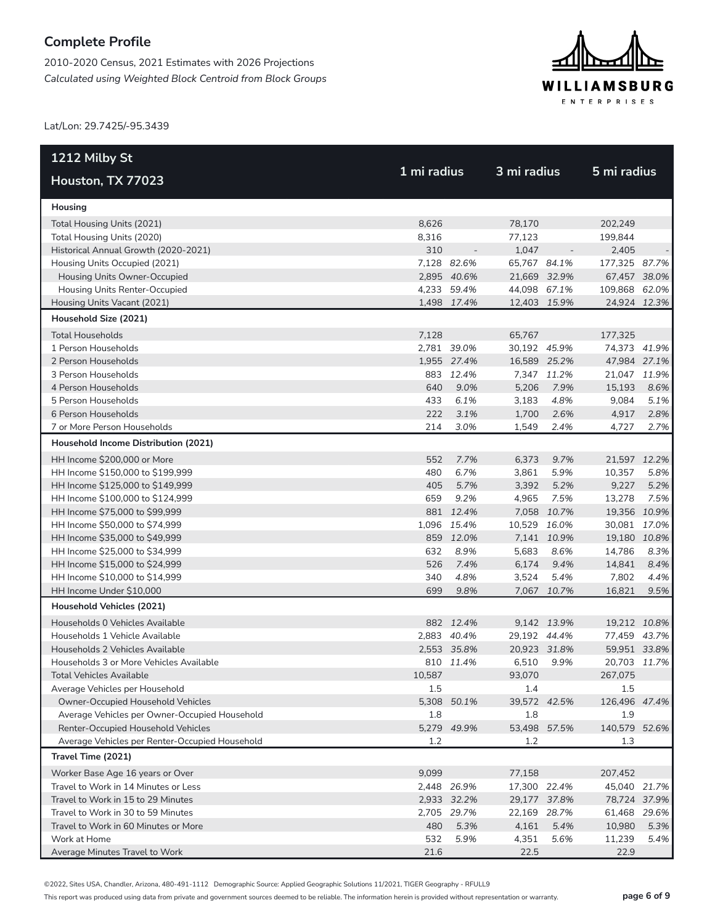2010-2020 Census, 2021 Estimates with 2026 Projections *Calculated using Weighted Block Centroid from Block Groups*



Lat/Lon: 29.7425/-95.3439

| 1212 Milby St                                  |             |             | 3 mi radius  |             |               |      |
|------------------------------------------------|-------------|-------------|--------------|-------------|---------------|------|
| Houston, TX 77023                              | 1 mi radius |             |              |             | 5 mi radius   |      |
| Housing                                        |             |             |              |             |               |      |
| Total Housing Units (2021)                     | 8,626       |             | 78,170       |             | 202,249       |      |
| Total Housing Units (2020)                     | 8,316       |             | 77,123       |             | 199,844       |      |
| Historical Annual Growth (2020-2021)           | 310         |             | 1,047        |             | 2,405         |      |
| Housing Units Occupied (2021)                  |             | 7,128 82.6% | 65,767 84.1% |             | 177,325 87.7% |      |
| Housing Units Owner-Occupied                   |             | 2,895 40.6% | 21,669 32.9% |             | 67,457 38.0%  |      |
| Housing Units Renter-Occupied                  |             | 4,233 59.4% | 44,098 67.1% |             | 109,868 62.0% |      |
| Housing Units Vacant (2021)                    |             | 1,498 17.4% | 12,403 15.9% |             | 24,924 12.3%  |      |
| Household Size (2021)                          |             |             |              |             |               |      |
| <b>Total Households</b>                        | 7,128       |             | 65,767       |             | 177,325       |      |
| 1 Person Households                            |             | 2,781 39.0% | 30,192 45.9% |             | 74,373 41.9%  |      |
| 2 Person Households                            |             | 1,955 27.4% | 16,589 25.2% |             | 47,984 27.1%  |      |
| 3 Person Households                            |             | 883 12.4%   |              | 7,347 11.2% | 21,047 11.9%  |      |
| 4 Person Households                            | 640         | 9.0%        | 5,206        | 7.9%        | 15,193        | 8.6% |
| 5 Person Households                            | 433         | 6.1%        | 3,183        | 4.8%        | 9,084         | 5.1% |
| 6 Person Households                            | 222         | 3.1%        | 1,700        | 2.6%        | 4,917         | 2.8% |
| 7 or More Person Households                    | 214         | 3.0%        | 1,549        | 2.4%        | 4,727         | 2.7% |
| Household Income Distribution (2021)           |             |             |              |             |               |      |
| HH Income \$200,000 or More                    | 552         | 7.7%        | 6,373        | 9.7%        | 21,597 12.2%  |      |
| HH Income \$150,000 to \$199,999               | 480         | 6.7%        | 3,861        | 5.9%        | 10,357        | 5.8% |
| HH Income \$125,000 to \$149,999               | 405         | 5.7%        | 3,392        | 5.2%        | 9,227         | 5.2% |
| HH Income \$100,000 to \$124,999               | 659         | 9.2%        | 4,965        | 7.5%        | 13,278        | 7.5% |
| HH Income \$75,000 to \$99,999                 |             | 881 12.4%   |              | 7,058 10.7% | 19,356 10.9%  |      |
| HH Income \$50,000 to \$74,999                 |             | 1,096 15.4% | 10,529 16.0% |             | 30,081 17.0%  |      |
| HH Income \$35,000 to \$49,999                 |             | 859 12.0%   |              | 7,141 10.9% | 19,180 10.8%  |      |
| HH Income \$25,000 to \$34,999                 | 632         | 8.9%        | 5,683        | 8.6%        | 14,786        | 8.3% |
| HH Income \$15,000 to \$24,999                 | 526         | 7.4%        | 6,174        | 9.4%        | 14,841        | 8.4% |
| HH Income \$10,000 to \$14,999                 | 340         | 4.8%        | 3,524        | 5.4%        | 7,802         | 4.4% |
| HH Income Under \$10,000                       | 699         | 9.8%        |              | 7,067 10.7% | 16,821        | 9.5% |
| Household Vehicles (2021)                      |             |             |              |             |               |      |
| Households 0 Vehicles Available                |             | 882 12.4%   |              | 9,142 13.9% | 19,212 10.8%  |      |
| Households 1 Vehicle Available                 |             | 2,883 40.4% | 29,192 44.4% |             | 77,459 43.7%  |      |
| Households 2 Vehicles Available                |             | 2,553 35.8% | 20,923 31.8% |             | 59,951 33.8%  |      |
| Households 3 or More Vehicles Available        |             | 810 11.4%   | 6,510        | 9.9%        | 20,703 11.7%  |      |
| Total Vehicles Available                       | 10.587      |             | 93.070       |             | 267,075       |      |
| Average Vehicles per Household                 | 1.5         |             | 1.4          |             | 1.5           |      |
| Owner-Occupied Household Vehicles              |             | 5,308 50.1% | 39,572 42.5% |             | 126,496 47.4% |      |
| Average Vehicles per Owner-Occupied Household  | 1.8         |             | 1.8          |             | 1.9           |      |
| Renter-Occupied Household Vehicles             |             | 5,279 49.9% | 53,498       | 57.5%       | 140,579 52.6% |      |
| Average Vehicles per Renter-Occupied Household | 1.2         |             | 1.2          |             | 1.3           |      |
| Travel Time (2021)                             |             |             |              |             |               |      |
| Worker Base Age 16 years or Over               | 9,099       |             | 77,158       |             | 207,452       |      |
| Travel to Work in 14 Minutes or Less           |             | 2,448 26.9% | 17,300 22.4% |             | 45,040 21.7%  |      |
| Travel to Work in 15 to 29 Minutes             |             | 2,933 32.2% | 29,177 37.8% |             | 78,724 37.9%  |      |
| Travel to Work in 30 to 59 Minutes             |             | 2,705 29.7% | 22,169 28.7% |             | 61,468 29.6%  |      |
| Travel to Work in 60 Minutes or More           | 480         | 5.3%        | 4,161        | 5.4%        | 10,980        | 5.3% |
| Work at Home                                   | 532         | 5.9%        | 4,351        | 5.6%        | 11,239        | 5.4% |
| Average Minutes Travel to Work                 | 21.6        |             | 22.5         |             | 22.9          |      |

©2022, Sites USA, Chandler, Arizona, 480-491-1112 Demographic Source: Applied Geographic Solutions 11/2021, TIGER Geography - RFULL9

This report was produced using data from private and government sources deemed to be reliable. The information herein is provided without representation or warranty. **page 6 of 9**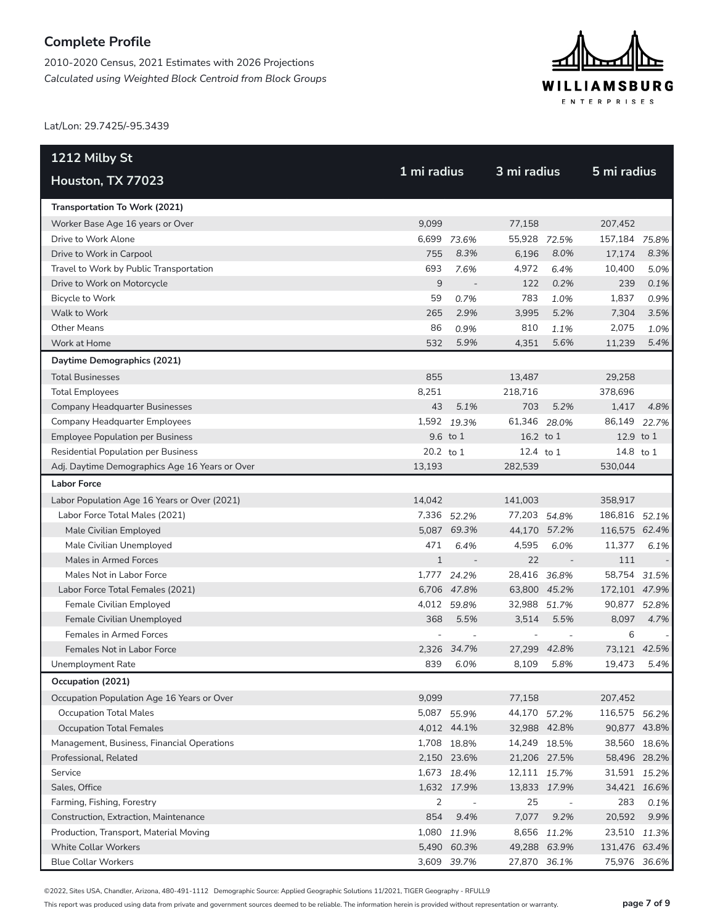2010-2020 Census, 2021 Estimates with 2026 Projections *Calculated using Weighted Block Centroid from Block Groups*



Lat/Lon: 29.7425/-95.3439

| 1212 Milby St                                  | 1 mi radius  |             | 3 mi radius  |              | 5 mi radius   |       |  |  |
|------------------------------------------------|--------------|-------------|--------------|--------------|---------------|-------|--|--|
| Houston, TX 77023                              |              |             |              |              |               |       |  |  |
| Transportation To Work (2021)                  |              |             |              |              |               |       |  |  |
| Worker Base Age 16 years or Over               | 9.099        |             | 77,158       |              | 207,452       |       |  |  |
| Drive to Work Alone                            |              | 6,699 73.6% | 55,928 72.5% |              | 157,184 75.8% |       |  |  |
| Drive to Work in Carpool                       | 755          | 8.3%        | 6,196        | 8.0%         | 17,174        | 8.3%  |  |  |
| Travel to Work by Public Transportation        | 693          | 7.6%        | 4,972        | 6.4%         | 10,400        | 5.0%  |  |  |
| Drive to Work on Motorcycle                    | 9            |             | 122          | 0.2%         | 239           | 0.1%  |  |  |
| Bicycle to Work                                | 59           | 0.7%        | 783          | 1.0%         | 1,837         | 0.9%  |  |  |
| Walk to Work                                   | 265          | 2.9%        | 3,995        | 5.2%         | 7,304         | 3.5%  |  |  |
| <b>Other Means</b>                             | 86           | 0.9%        | 810          | 1.1%         | 2,075         | 1.0%  |  |  |
| Work at Home                                   | 532          | 5.9%        | 4,351        | 5.6%         | 11,239        | 5.4%  |  |  |
| Daytime Demographics (2021)                    |              |             |              |              |               |       |  |  |
| <b>Total Businesses</b>                        | 855          |             | 13,487       |              | 29,258        |       |  |  |
| <b>Total Employees</b>                         | 8,251        |             | 218.716      |              | 378,696       |       |  |  |
| Company Headquarter Businesses                 | 43           | 5.1%        | 703          | 5.2%         | 1,417         | 4.8%  |  |  |
| Company Headquarter Employees                  |              | 1,592 19.3% | 61,346 28.0% |              | 86,149        | 22.7% |  |  |
| <b>Employee Population per Business</b>        |              | 9.6 to 1    | 16.2 to 1    |              | 12.9 to 1     |       |  |  |
| <b>Residential Population per Business</b>     | 20.2 to 1    |             | 12.4 to $1$  |              | 14.8 to 1     |       |  |  |
| Adj. Daytime Demographics Age 16 Years or Over | 13,193       |             | 282,539      |              | 530,044       |       |  |  |
| <b>Labor Force</b>                             |              |             |              |              |               |       |  |  |
| Labor Population Age 16 Years or Over (2021)   | 14,042       |             | 141,003      |              | 358,917       |       |  |  |
| Labor Force Total Males (2021)                 |              | 7,336 52.2% | 77,203 54.8% |              | 186,816 52.1% |       |  |  |
| Male Civilian Employed                         |              | 5,087 69.3% |              | 44,170 57.2% | 116,575 62.4% |       |  |  |
| Male Civilian Unemployed                       | 471          | 6.4%        | 4,595        | 6.0%         | 11,377        | 6.1%  |  |  |
| Males in Armed Forces                          | $\mathbf{1}$ |             | 22           | $\sim$       | 111           |       |  |  |
| Males Not in Labor Force                       |              | 1,777 24.2% | 28,416       | 36.8%        | 58,754        | 31.5% |  |  |
| Labor Force Total Females (2021)               |              | 6,706 47.8% |              | 63,800 45.2% | 172,101 47.9% |       |  |  |
| Female Civilian Employed                       |              | 4,012 59.8% | 32,988 51.7% |              | 90,877 52.8%  |       |  |  |
| Female Civilian Unemployed                     | 368          | 5.5%        | 3.514        | 5.5%         | 8,097         | 4.7%  |  |  |
| Females in Armed Forces                        |              |             |              |              | 6             |       |  |  |
| Females Not in Labor Force                     |              | 2,326 34.7% |              | 27,299 42.8% | 73,121 42.5%  |       |  |  |
| Unemployment Rate                              | 839          | 6.0%        | 8,109        | 5.8%         | 19,473        | 5.4%  |  |  |
| Occupation (2021)                              |              |             |              |              |               |       |  |  |
| Occupation Population Age 16 Years or Over     | 9,099        |             | 77,158       |              | 207,452       |       |  |  |
| <b>Occupation Total Males</b>                  |              | 5,087 55.9% | 44,170 57.2% |              | 116,575 56.2% |       |  |  |
| <b>Occupation Total Females</b>                |              | 4,012 44.1% |              | 32,988 42.8% | 90,877 43.8%  |       |  |  |
| Management, Business, Financial Operations     |              | 1,708 18.8% | 14,249 18.5% |              | 38,560 18.6%  |       |  |  |
| Professional, Related                          |              | 2,150 23.6% |              | 21,206 27.5% | 58,496 28.2%  |       |  |  |
| Service                                        |              | 1,673 18.4% | 12,111 15.7% |              | 31,591 15.2%  |       |  |  |
| Sales, Office                                  |              | 1,632 17.9% |              | 13,833 17.9% | 34,421 16.6%  |       |  |  |
| Farming, Fishing, Forestry                     | 2            |             | 25           |              | 283           | 0.1%  |  |  |
| Construction, Extraction, Maintenance          | 854          | 9.4%        | 7,077        | 9.2%         | 20,592        | 9.9%  |  |  |
| Production, Transport, Material Moving         |              | 1,080 11.9% |              | 8,656 11.2%  | 23,510 11.3%  |       |  |  |
| <b>White Collar Workers</b>                    |              | 5,490 60.3% |              | 49,288 63.9% | 131,476 63.4% |       |  |  |
| <b>Blue Collar Workers</b>                     |              | 3,609 39.7% | 27,870 36.1% |              | 75,976 36.6%  |       |  |  |

©2022, Sites USA, Chandler, Arizona, 480-491-1112 Demographic Source: Applied Geographic Solutions 11/2021, TIGER Geography - RFULL9

This report was produced using data from private and government sources deemed to be reliable. The information herein is provided without representation or warranty. **page 7 of 9**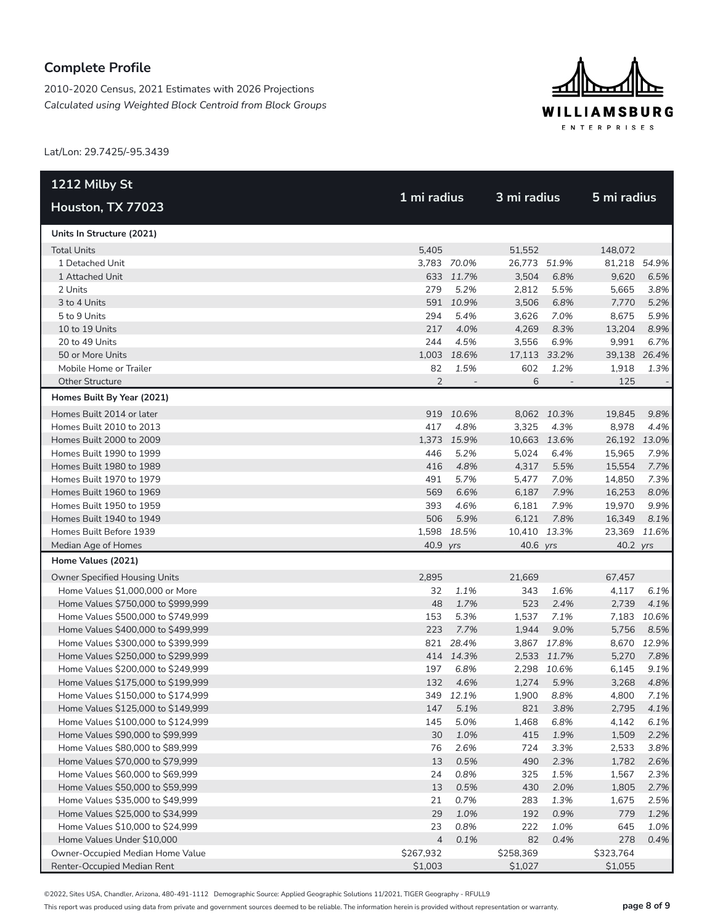2010-2020 Census, 2021 Estimates with 2026 Projections *Calculated using Weighted Block Centroid from Block Groups*



Lat/Lon: 29.7425/-95.3439

| 1212 Milby St                        |                |                          |              |                          |              |             |
|--------------------------------------|----------------|--------------------------|--------------|--------------------------|--------------|-------------|
| Houston, TX 77023                    | 1 mi radius    |                          | 3 mi radius  |                          | 5 mi radius  |             |
| Units In Structure (2021)            |                |                          |              |                          |              |             |
| <b>Total Units</b>                   | 5,405          |                          | 51,552       |                          | 148,072      |             |
| 1 Detached Unit                      |                | 3,783 70.0%              | 26.773 51.9% |                          | 81,218 54.9% |             |
| 1 Attached Unit                      |                | 633 11.7%                | 3,504        | 6.8%                     | 9,620        | 6.5%        |
| 2 Units                              | 279            | 5.2%                     | 2,812        | 5.5%                     | 5,665        | 3.8%        |
| 3 to 4 Units                         |                | 591 10.9%                | 3,506        | 6.8%                     | 7,770        | 5.2%        |
| 5 to 9 Units                         | 294            | 5.4%                     | 3,626        | 7.0%                     | 8,675        | 5.9%        |
| 10 to 19 Units                       | 217            | 4.0%                     | 4,269        | 8.3%                     | 13,204       | 8.9%        |
| 20 to 49 Units                       | 244            | 4.5%                     | 3,556        | 6.9%                     | 9,991        | 6.7%        |
| 50 or More Units                     |                | 1,003 18.6%              | 17,113       | 33.2%                    | 39,138 26.4% |             |
| Mobile Home or Trailer               | 82             | 1.5%                     | 602          | 1.2%                     | 1,918        | 1.3%        |
| <b>Other Structure</b>               | $\overline{2}$ | $\overline{\phantom{a}}$ | 6            | $\overline{\phantom{a}}$ | 125          |             |
| Homes Built By Year (2021)           |                |                          |              |                          |              |             |
| Homes Built 2014 or later            |                | 919 10.6%                |              | 8,062 10.3%              | 19,845       | 9.8%        |
| Homes Built 2010 to 2013             | 417            | 4.8%                     | 3,325        | 4.3%                     | 8,978        | 4.4%        |
| Homes Built 2000 to 2009             |                | 1,373 15.9%              | 10,663       | 13.6%                    | 26,192 13.0% |             |
| Homes Built 1990 to 1999             | 446            | 5.2%                     | 5,024        | 6.4%                     | 15,965       | 7.9%        |
| Homes Built 1980 to 1989             | 416            | 4.8%                     | 4,317        | 5.5%                     | 15,554       | 7.7%        |
| Homes Built 1970 to 1979             | 491            | 5.7%                     | 5,477        | 7.0%                     | 14,850       | 7.3%        |
| Homes Built 1960 to 1969             | 569            | 6.6%                     | 6,187        | 7.9%                     | 16,253       | 8.0%        |
| Homes Built 1950 to 1959             | 393            | 4.6%                     | 6,181        | 7.9%                     | 19,970       | 9.9%        |
| Homes Built 1940 to 1949             | 506            | 5.9%                     | 6,121        | 7.8%                     | 16,349       | 8.1%        |
| Homes Built Before 1939              |                | 1,598 18.5%              | 10,410       | 13.3%                    | 23,369 11.6% |             |
| Median Age of Homes                  | 40.9 yrs       |                          | 40.6 yrs     |                          | 40.2 yrs     |             |
| Home Values (2021)                   |                |                          |              |                          |              |             |
| <b>Owner Specified Housing Units</b> | 2,895          |                          | 21,669       |                          | 67,457       |             |
| Home Values \$1,000,000 or More      | 32             | 1.1%                     | 343          | 1.6%                     | 4,117        | 6.1%        |
| Home Values \$750,000 to \$999,999   | 48             | 1.7%                     | 523          | 2.4%                     | 2,739        | 4.1%        |
| Home Values \$500,000 to \$749,999   | 153            | 5.3%                     | 1,537        | 7.1%                     |              | 7,183 10.6% |
| Home Values \$400,000 to \$499,999   | 223            | 7.7%                     | 1,944        | 9.0%                     | 5,756        | 8.5%        |
| Home Values \$300,000 to \$399,999   |                | 821 28.4%                |              | 3,867 17.8%              |              | 8,670 12.9% |
| Home Values \$250,000 to \$299,999   |                | 414 14.3%                |              | 2,533 11.7%              | 5,270        | 7.8%        |
| Home Values \$200,000 to \$249,999   | 197            | 6.8%                     |              | 2,298 10.6%              | 6,145        | 9.1%        |
| Home Values \$175,000 to \$199,999   | 132            | 4.6%                     | 1,274        | 5.9%                     | 3,268        | 4.8%        |
| Home Values \$150,000 to \$174,999   |                | 349 12.1%                | 1,900        | 8.8%                     | 4,800        | 7.1%        |
| Home Values \$125,000 to \$149,999   | 147            | 5.1%                     | 821          | 3.8%                     | 2,795        | 4.1%        |
| Home Values \$100,000 to \$124,999   | 145            | 5.0%                     | 1,468        | 6.8%                     | 4,142        | 6.1%        |
| Home Values \$90,000 to \$99,999     | 30             | 1.0%                     | 415          | 1.9%                     | 1,509        | 2.2%        |
| Home Values \$80,000 to \$89,999     | 76             | 2.6%                     | 724          | 3.3%                     | 2,533        | 3.8%        |
| Home Values \$70,000 to \$79,999     | 13             | 0.5%                     | 490          | 2.3%                     | 1,782        | 2.6%        |
| Home Values \$60,000 to \$69,999     | 24             | 0.8%                     | 325          | 1.5%                     | 1,567        | 2.3%        |
| Home Values \$50,000 to \$59,999     | 13             | 0.5%                     | 430          | 2.0%                     | 1,805        | 2.7%        |
| Home Values \$35,000 to \$49,999     | 21             | 0.7%                     | 283          | 1.3%                     | 1,675        | 2.5%        |
| Home Values \$25,000 to \$34,999     | 29             | 1.0%                     | 192          | 0.9%                     | 779          | 1.2%        |
| Home Values \$10,000 to \$24,999     | 23             | 0.8%                     | 222          | 1.0%                     | 645          | 1.0%        |
| Home Values Under \$10,000           | $\overline{4}$ | 0.1%                     | 82           | 0.4%                     | 278          | 0.4%        |
| Owner-Occupied Median Home Value     | \$267,932      |                          | \$258,369    |                          | \$323,764    |             |
| Renter-Occupied Median Rent          | \$1,003        |                          | \$1,027      |                          | \$1,055      |             |

©2022, Sites USA, Chandler, Arizona, 480-491-1112 Demographic Source: Applied Geographic Solutions 11/2021, TIGER Geography - RFULL9

This report was produced using data from private and government sources deemed to be reliable. The information herein is provided without representation or warranty. **page 8 of 9**